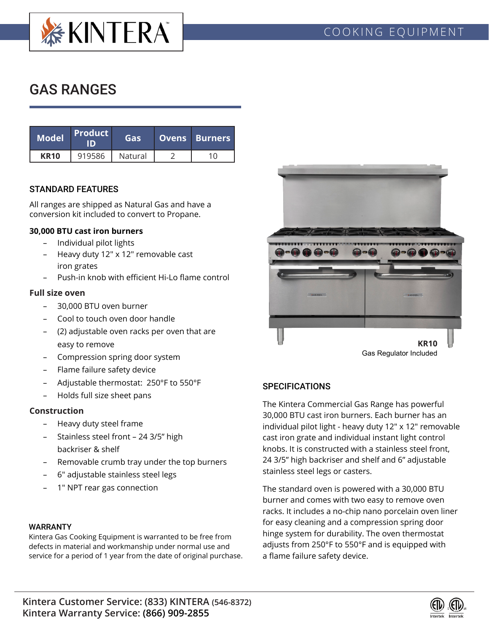

# GAS RANGES

| <b>Model</b> | <b>Product</b> | Gas     | <b>Ovens Burners</b> |  |
|--------------|----------------|---------|----------------------|--|
| <b>KR10</b>  | 919586         | Natural |                      |  |

### STANDARD FEATURES

All ranges are shipped as Natural Gas and have a conversion kit included to convert to Propane.

#### **30,000 BTU cast iron burners**

- Individual pilot lights
- Heavy duty 12" x 12" removable cast iron grates
- Push-in knob with efficient Hi-Lo flame control

#### **Full size oven**

- 30,000 BTU oven burner
- Cool to touch oven door handle
- (2) adjustable oven racks per oven that are easy to remove
- Compression spring door system
- Flame failure safety device
- Adjustable thermostat: 250°F to 550°F
- Holds full size sheet pans

#### **Construction**

- Heavy duty steel frame
- Stainless steel front 24 3/5" high backriser & shelf
- Removable crumb tray under the top burners
- 6" adjustable stainless steel legs
- 1" NPT rear gas connection

#### WARRANTY

Kintera Gas Cooking Equipment is warranted to be free from defects in material and workmanship under normal use and service for a period of 1 year from the date of original purchase.



#### **SPECIFICATIONS**

The Kintera Commercial Gas Range has powerful 30,000 BTU cast iron burners. Each burner has an individual pilot light - heavy duty 12" x 12" removable cast iron grate and individual instant light control knobs. It is constructed with a stainless steel front, 24 3/5" high backriser and shelf and 6" adjustable stainless steel legs or casters.

The standard oven is powered with a 30,000 BTU burner and comes with two easy to remove oven racks. It includes a no-chip nano porcelain oven liner for easy cleaning and a compression spring door hinge system for durability. The oven thermostat adjusts from 250°F to 550°F and is equipped with a flame failure safety device.